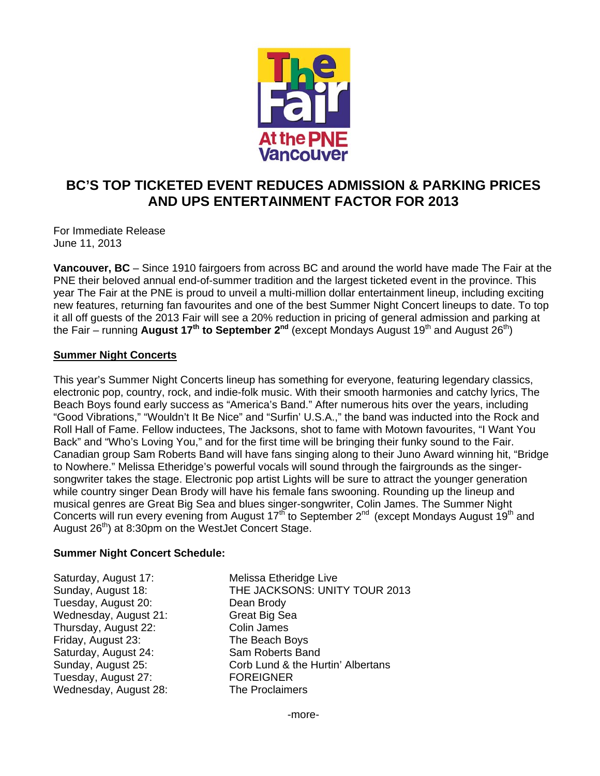

# **BC'S TOP TICKETED EVENT REDUCES ADMISSION & PARKING PRICES AND UPS ENTERTAINMENT FACTOR FOR 2013**

For Immediate Release June 11, 2013

**Vancouver, BC** – Since 1910 fairgoers from across BC and around the world have made The Fair at the PNE their beloved annual end-of-summer tradition and the largest ticketed event in the province. This year The Fair at the PNE is proud to unveil a multi-million dollar entertainment lineup, including exciting new features, returning fan favourites and one of the best Summer Night Concert lineups to date. To top it all off guests of the 2013 Fair will see a 20% reduction in pricing of general admission and parking at the Fair – running **August 17<sup>th</sup> to September 2<sup>nd</sup> (except Mondays August 19<sup>th</sup> and August 26<sup>th</sup>)** 

## **Summer Night Concerts**

This year's Summer Night Concerts lineup has something for everyone, featuring legendary classics, electronic pop, country, rock, and indie-folk music. With their smooth harmonies and catchy lyrics, The Beach Boys found early success as "America's Band." After numerous hits over the years, including "Good Vibrations," "Wouldn't It Be Nice" and "Surfin' U.S.A.," the band was inducted into the Rock and Roll Hall of Fame. Fellow inductees, The Jacksons, shot to fame with Motown favourites, "I Want You Back" and "Who's Loving You," and for the first time will be bringing their funky sound to the Fair. Canadian group Sam Roberts Band will have fans singing along to their Juno Award winning hit, "Bridge to Nowhere." Melissa Etheridge's powerful vocals will sound through the fairgrounds as the singersongwriter takes the stage. Electronic pop artist Lights will be sure to attract the younger generation while country singer Dean Brody will have his female fans swooning. Rounding up the lineup and musical genres are Great Big Sea and blues singer-songwriter, Colin James. The Summer Night Concerts will run every evening from August 17<sup>th</sup> to September 2<sup>nd</sup> (except Mondays August 19<sup>th</sup> and August  $26<sup>th</sup>$ ) at 8:30pm on the WestJet Concert Stage.

## **Summer Night Concert Schedule:**

Saturday, August 17: Melissa Etheridge Live Tuesday, August 20: Dean Brody Wednesday, August 21: Great Big Sea Thursday, August 22: Colin James<br>Triday, August 23: The Beach Boys Friday, August 23: Saturday, August 24: Sam Roberts Band Tuesday, August 27: FOREIGNER Wednesday, August 28: The Proclaimers

Sunday, August 18: THE JACKSONS: UNITY TOUR 2013 Sunday, August 25: Corb Lund & the Hurtin' Albertans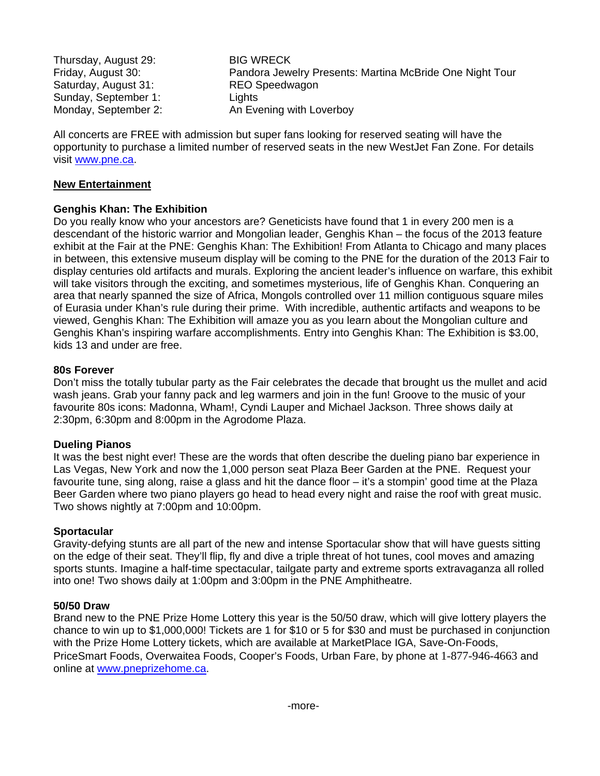Thursday, August 29: BIG WRECK Friday, August 30: Pandora Jewelry Presents: Martina McBride One Night Tour Saturday, August 31: REO Speedwagon Sunday, September 1: Lights Monday, September 2: An Evening with Loverboy

All concerts are FREE with admission but super fans looking for reserved seating will have the opportunity to purchase a limited number of reserved seats in the new WestJet Fan Zone. For details visit www.pne.ca.

## **New Entertainment**

## **Genghis Khan: The Exhibition**

Do you really know who your ancestors are? Geneticists have found that 1 in every 200 men is a descendant of the historic warrior and Mongolian leader, Genghis Khan – the focus of the 2013 feature exhibit at the Fair at the PNE: Genghis Khan: The Exhibition! From Atlanta to Chicago and many places in between, this extensive museum display will be coming to the PNE for the duration of the 2013 Fair to display centuries old artifacts and murals. Exploring the ancient leader's influence on warfare, this exhibit will take visitors through the exciting, and sometimes mysterious, life of Genghis Khan. Conquering an area that nearly spanned the size of Africa, Mongols controlled over 11 million contiguous square miles of Eurasia under Khan's rule during their prime. With incredible, authentic artifacts and weapons to be viewed, Genghis Khan: The Exhibition will amaze you as you learn about the Mongolian culture and Genghis Khan's inspiring warfare accomplishments. Entry into Genghis Khan: The Exhibition is \$3.00, kids 13 and under are free.

## **80s Forever**

Don't miss the totally tubular party as the Fair celebrates the decade that brought us the mullet and acid wash jeans. Grab your fanny pack and leg warmers and join in the fun! Groove to the music of your favourite 80s icons: Madonna, Wham!, Cyndi Lauper and Michael Jackson. Three shows daily at 2:30pm, 6:30pm and 8:00pm in the Agrodome Plaza.

## **Dueling Pianos**

It was the best night ever! These are the words that often describe the dueling piano bar experience in Las Vegas, New York and now the 1,000 person seat Plaza Beer Garden at the PNE. Request your favourite tune, sing along, raise a glass and hit the dance floor – it's a stompin' good time at the Plaza Beer Garden where two piano players go head to head every night and raise the roof with great music. Two shows nightly at 7:00pm and 10:00pm.

## **Sportacular**

Gravity-defying stunts are all part of the new and intense Sportacular show that will have guests sitting on the edge of their seat. They'll flip, fly and dive a triple threat of hot tunes, cool moves and amazing sports stunts. Imagine a half-time spectacular, tailgate party and extreme sports extravaganza all rolled into one! Two shows daily at 1:00pm and 3:00pm in the PNE Amphitheatre.

## **50/50 Draw**

Brand new to the PNE Prize Home Lottery this year is the 50/50 draw, which will give lottery players the chance to win up to \$1,000,000! Tickets are 1 for \$10 or 5 for \$30 and must be purchased in conjunction with the Prize Home Lottery tickets, which are available at MarketPlace IGA, Save-On-Foods, PriceSmart Foods, Overwaitea Foods, Cooper's Foods, Urban Fare, by phone at 1-877-946-4663 and online at www.pneprizehome.ca.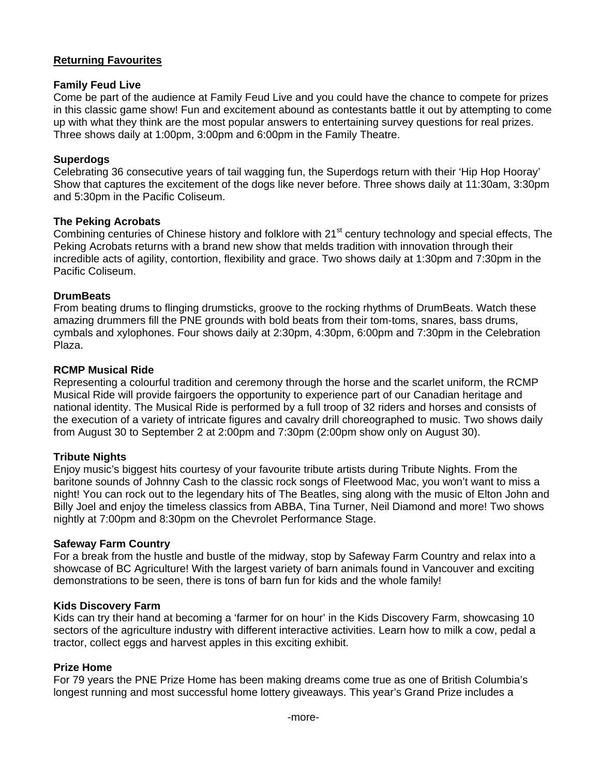## **Returning Favourites**

## **Family Feud Live**

Come be part of the audience at Family Feud Live and you could have the chance to compete for prizes in this classic game show! Fun and excitement abound as contestants battle it out by attempting to come up with what they think are the most popular answers to entertaining survey questions for real prizes. Three shows daily at 1:00pm, 3:00pm and 6:00pm in the Family Theatre.

## **Superdogs**

Celebrating 36 consecutive years of tail wagging fun, the Superdogs return with their 'Hip Hop Hooray' Show that captures the excitement of the dogs like never before. Three shows daily at 11:30am, 3:30pm and 5:30pm in the Pacific Coliseum.

## **The Peking Acrobats**

Combining centuries of Chinese history and folklore with 21<sup>st</sup> century technology and special effects, The Peking Acrobats returns with a brand new show that melds tradition with innovation through their incredible acts of agility, contortion, flexibility and grace. Two shows daily at 1:30pm and 7:30pm in the Pacific Coliseum.

## **DrumBeats**

From beating drums to flinging drumsticks, groove to the rocking rhythms of DrumBeats. Watch these amazing drummers fill the PNE grounds with bold beats from their tom-toms, snares, bass drums, cymbals and xylophones. Four shows daily at 2:30pm, 4:30pm, 6:00pm and 7:30pm in the Celebration Plaza.

## **RCMP Musical Ride**

Representing a colourful tradition and ceremony through the horse and the scarlet uniform, the RCMP Musical Ride will provide fairgoers the opportunity to experience part of our Canadian heritage and national identity. The Musical Ride is performed by a full troop of 32 riders and horses and consists of the execution of a variety of intricate figures and cavalry drill choreographed to music. Two shows daily from August 30 to September 2 at 2:00pm and 7:30pm (2:00pm show only on August 30).

## **Tribute Nights**

Enjoy music's biggest hits courtesy of your favourite tribute artists during Tribute Nights. From the baritone sounds of Johnny Cash to the classic rock songs of Fleetwood Mac, you won't want to miss a night! You can rock out to the legendary hits of The Beatles, sing along with the music of Elton John and Billy Joel and enjoy the timeless classics from ABBA, Tina Turner, Neil Diamond and more! Two shows nightly at 7:00pm and 8:30pm on the Chevrolet Performance Stage.

## **Safeway Farm Country**

For a break from the hustle and bustle of the midway, stop by Safeway Farm Country and relax into a showcase of BC Agriculture! With the largest variety of barn animals found in Vancouver and exciting demonstrations to be seen, there is tons of barn fun for kids and the whole family!

## **Kids Discovery Farm**

Kids can try their hand at becoming a 'farmer for on hour' in the Kids Discovery Farm, showcasing 10 sectors of the agriculture industry with different interactive activities. Learn how to milk a cow, pedal a tractor, collect eggs and harvest apples in this exciting exhibit.

## **Prize Home**

For 79 years the PNE Prize Home has been making dreams come true as one of British Columbia's longest running and most successful home lottery giveaways. This year's Grand Prize includes a